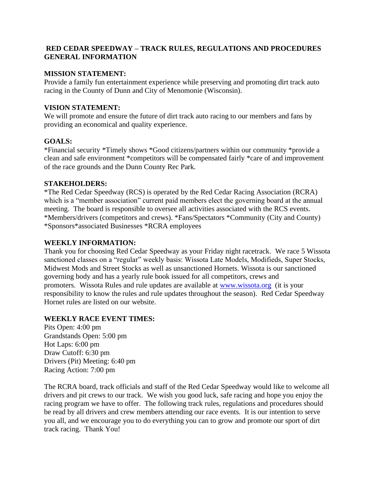# **RED CEDAR SPEEDWAY – TRACK RULES, REGULATIONS AND PROCEDURES GENERAL INFORMATION**

#### **MISSION STATEMENT:**

Provide a family fun entertainment experience while preserving and promoting dirt track auto racing in the County of Dunn and City of Menomonie (Wisconsin).

### **VISION STATEMENT:**

We will promote and ensure the future of dirt track auto racing to our members and fans by providing an economical and quality experience.

# **GOALS:**

\*Financial security \*Timely shows \*Good citizens/partners within our community \*provide a clean and safe environment \*competitors will be compensated fairly \*care of and improvement of the race grounds and the Dunn County Rec Park.

#### **STAKEHOLDERS:**

\*The Red Cedar Speedway (RCS) is operated by the Red Cedar Racing Association (RCRA) which is a "member association" current paid members elect the governing board at the annual meeting. The board is responsible to oversee all activities associated with the RCS events. \*Members/drivers (competitors and crews). \*Fans/Spectators \*Community (City and County) \*Sponsors\*associated Businesses \*RCRA employees

#### **WEEKLY INFORMATION:**

Thank you for choosing Red Cedar Speedway as your Friday night racetrack. We race 5 Wissota sanctioned classes on a "regular" weekly basis: Wissota Late Models, Modifieds, Super Stocks, Midwest Mods and Street Stocks as well as unsanctioned Hornets. Wissota is our sanctioned governing body and has a yearly rule book issued for all competitors, crews and promoters. Wissota Rules and rule updates are available at [www.wissota.org](http://www.wissota.org/) (it is your responsibility to know the rules and rule updates throughout the season). Red Cedar Speedway Hornet rules are listed on our website.

# **WEEKLY RACE EVENT TIMES:**

Pits Open: 4:00 pm Grandstands Open: 5:00 pm Hot Laps: 6:00 pm Draw Cutoff: 6:30 pm Drivers (Pit) Meeting: 6:40 pm Racing Action: 7:00 pm

The RCRA board, track officials and staff of the Red Cedar Speedway would like to welcome all drivers and pit crews to our track. We wish you good luck, safe racing and hope you enjoy the racing program we have to offer. The following track rules, regulations and procedures should be read by all drivers and crew members attending our race events. It is our intention to serve you all, and we encourage you to do everything you can to grow and promote our sport of dirt track racing. Thank You!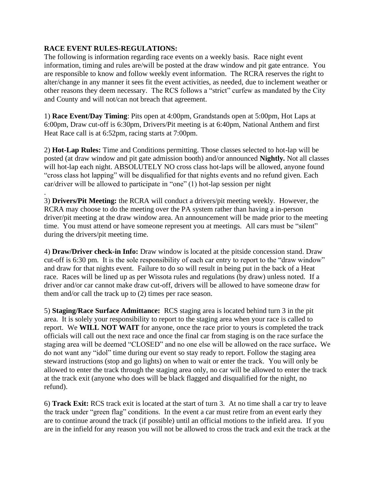# **RACE EVENT RULES-REGULATIONS:**

The following is information regarding race events on a weekly basis. Race night event information, timing and rules are/will be posted at the draw window and pit gate entrance. You are responsible to know and follow weekly event information. The RCRA reserves the right to alter/change in any manner it sees fit the event activities, as needed, due to inclement weather or other reasons they deem necessary. The RCS follows a "strict" curfew as mandated by the City and County and will not/can not breach that agreement.

1) **Race Event/Day Timing**: Pits open at 4:00pm, Grandstands open at 5:00pm, Hot Laps at 6:00pm, Draw cut-off is 6:30pm, Drivers/Pit meeting is at 6:40pm, National Anthem and first Heat Race call is at 6:52pm, racing starts at 7:00pm.

2) **Hot-Lap Rules:** Time and Conditions permitting. Those classes selected to hot-lap will be posted (at draw window and pit gate admission booth) and/or announced **Nightly.** Not all classes will hot-lap each night. ABSOLUTELY NO cross class hot-laps will be allowed, anyone found "cross class hot lapping" will be disqualified for that nights events and no refund given. Each car/driver will be allowed to participate in "one" (1) hot-lap session per night

. 3) **Drivers/Pit Meeting:** the RCRA will conduct a drivers/pit meeting weekly. However, the RCRA may choose to do the meeting over the PA system rather than having a in-person driver/pit meeting at the draw window area. An announcement will be made prior to the meeting time. You must attend or have someone represent you at meetings. All cars must be "silent" during the drivers/pit meeting time.

4) **Draw/Driver check-in Info:** Draw window is located at the pitside concession stand. Draw cut-off is 6:30 pm. It is the sole responsibility of each car entry to report to the "draw window" and draw for that nights event. Failure to do so will result in being put in the back of a Heat race. Races will be lined up as per Wissota rules and regulations (by draw) unless noted. If a driver and/or car cannot make draw cut-off, drivers will be allowed to have someone draw for them and/or call the track up to (2) times per race season.

5) **Staging/Race Surface Admittance:** RCS staging area is located behind turn 3 in the pit area. It is solely your responsibility to report to the staging area when your race is called to report. We **WILL NOT WAIT** for anyone, once the race prior to yours is completed the track officials will call out the next race and once the final car from staging is on the race surface the staging area will be deemed "CLOSED" and no one else will be allowed on the race surface**.** We do not want any "idol" time during our event so stay ready to report. Follow the staging area steward instructions (stop and go lights) on when to wait or enter the track. You will only be allowed to enter the track through the staging area only, no car will be allowed to enter the track at the track exit (anyone who does will be black flagged and disqualified for the night, no refund).

6) **Track Exit:** RCS track exit is located at the start of turn 3. At no time shall a car try to leave the track under "green flag" conditions. In the event a car must retire from an event early they are to continue around the track (if possible) until an official motions to the infield area. If you are in the infield for any reason you will not be allowed to cross the track and exit the track at the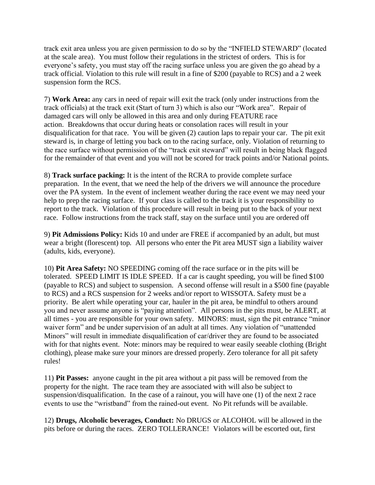track exit area unless you are given permission to do so by the "INFIELD STEWARD" (located at the scale area). You must follow their regulations in the strictest of orders. This is for everyone's safety, you must stay off the racing surface unless you are given the go ahead by a track official. Violation to this rule will result in a fine of \$200 (payable to RCS) and a 2 week suspension form the RCS.

7) **Work Area:** any cars in need of repair will exit the track (only under instructions from the track officials) at the track exit (Start of turn 3) which is also our "Work area". Repair of damaged cars will only be allowed in this area and only during FEATURE race action. Breakdowns that occur during heats or consolation races will result in your disqualification for that race. You will be given (2) caution laps to repair your car. The pit exit steward is, in charge of letting you back on to the racing surface, only. Violation of returning to the race surface without permission of the "track exit steward" will result in being black flagged for the remainder of that event and you will not be scored for track points and/or National points.

8) **Track surface packing:** It is the intent of the RCRA to provide complete surface preparation. In the event, that we need the help of the drivers we will announce the procedure over the PA system. In the event of inclement weather during the race event we may need your help to prep the racing surface. If your class is called to the track it is your responsibility to report to the track. Violation of this procedure will result in being put to the back of your next race. Follow instructions from the track staff, stay on the surface until you are ordered off

9) **Pit Admissions Policy:** Kids 10 and under are FREE if accompanied by an adult, but must wear a bright (florescent) top. All persons who enter the Pit area MUST sign a liability waiver (adults, kids, everyone).

10) **Pit Area Safety:** NO SPEEDING coming off the race surface or in the pits will be tolerated. SPEED LIMIT IS IDLE SPEED. If a car is caught speeding, you will be fined \$100 (payable to RCS) and subject to suspension. A second offense will result in a \$500 fine (payable to RCS) and a RCS suspension for 2 weeks and/or report to WISSOTA. Safety must be a priority. Be alert while operating your car, hauler in the pit area, be mindful to others around you and never assume anyone is "paying attention". All persons in the pits must, be ALERT, at all times - you are responsible for your own safety. MINORS: must, sign the pit entrance "minor waiver form" and be under supervision of an adult at all times. Any violation of "unattended Minors" will result in immediate disqualification of car/driver they are found to be associated with for that nights event. Note: minors may be required to wear easily seeable clothing (Bright) clothing), please make sure your minors are dressed properly. Zero tolerance for all pit safety rules!

11) **Pit Passes:** anyone caught in the pit area without a pit pass will be removed from the property for the night. The race team they are associated with will also be subject to suspension/disqualification. In the case of a rainout, you will have one (1) of the next 2 race events to use the "wristband" from the rained-out event. No Pit refunds will be available.

12) **Drugs, Alcoholic beverages, Conduct:** No DRUGS or ALCOHOL will be allowed in the pits before or during the races. ZERO TOLLERANCE! Violators will be escorted out, first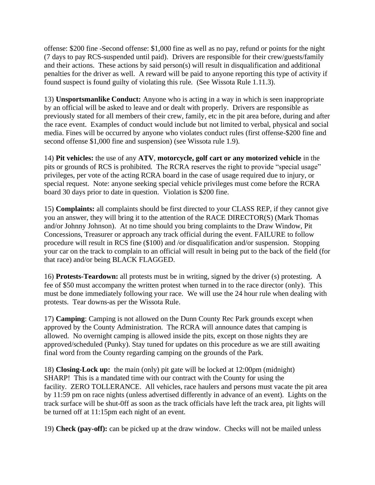offense: \$200 fine -Second offense: \$1,000 fine as well as no pay, refund or points for the night (7 days to pay RCS-suspended until paid). Drivers are responsible for their crew/guests/family and their actions. These actions by said person(s) will result in disqualification and additional penalties for the driver as well. A reward will be paid to anyone reporting this type of activity if found suspect is found guilty of violating this rule. (See Wissota Rule 1.11.3).

13) **Unsportsmanlike Conduct:** Anyone who is acting in a way in which is seen inappropriate by an official will be asked to leave and or dealt with properly. Drivers are responsible as previously stated for all members of their crew, family, etc in the pit area before, during and after the race event. Examples of conduct would include but not limited to verbal, physical and social media. Fines will be occurred by anyone who violates conduct rules (first offense-\$200 fine and second offense \$1,000 fine and suspension) (see Wissota rule 1.9).

14) **Pit vehicles:** the use of any **ATV**, **motorcycle, golf cart or any motorized vehicle** in the pits or grounds of RCS is prohibited. The RCRA reserves the right to provide "special usage" privileges, per vote of the acting RCRA board in the case of usage required due to injury, or special request. Note: anyone seeking special vehicle privileges must come before the RCRA board 30 days prior to date in question. Violation is \$200 fine.

15) **Complaints:** all complaints should be first directed to your CLASS REP, if they cannot give you an answer, they will bring it to the attention of the RACE DIRECTOR(S) (Mark Thomas and/or Johnny Johnson). At no time should you bring complaints to the Draw Window, Pit Concessions, Treasurer or approach any track official during the event. FAILURE to follow procedure will result in RCS fine (\$100) and /or disqualification and/or suspension. Stopping your car on the track to complain to an official will result in being put to the back of the field (for that race) and/or being BLACK FLAGGED.

16) **Protests-Teardown:** all protests must be in writing, signed by the driver (s) protesting. A fee of \$50 must accompany the written protest when turned in to the race director (only). This must be done immediately following your race. We will use the 24 hour rule when dealing with protests. Tear downs-as per the Wissota Rule.

17) **Camping**: Camping is not allowed on the Dunn County Rec Park grounds except when approved by the County Administration. The RCRA will announce dates that camping is allowed. No overnight camping is allowed inside the pits, except on those nights they are approved/scheduled (Punky). Stay tuned for updates on this procedure as we are still awaiting final word from the County regarding camping on the grounds of the Park.

18) **Closing-Lock up:** the main (only) pit gate will be locked at 12:00pm (midnight) SHARP! This is a mandated time with our contract with the County for using the facility. ZERO TOLLERANCE. All vehicles, race haulers and persons must vacate the pit area by 11:59 pm on race nights (unless advertised differently in advance of an event). Lights on the track surface will be shut-0ff as soon as the track officials have left the track area, pit lights will be turned off at 11:15pm each night of an event.

19) **Check (pay-off):** can be picked up at the draw window. Checks will not be mailed unless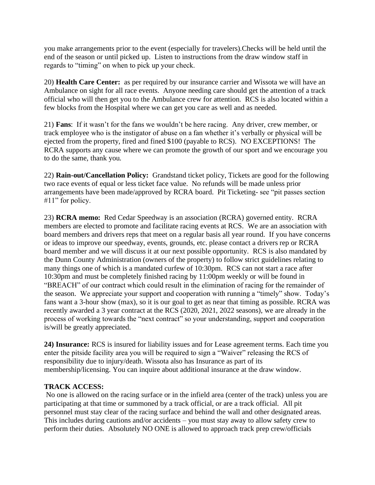you make arrangements prior to the event (especially for travelers).Checks will be held until the end of the season or until picked up. Listen to instructions from the draw window staff in regards to "timing" on when to pick up your check.

20) **Health Care Center:** as per required by our insurance carrier and Wissota we will have an Ambulance on sight for all race events. Anyone needing care should get the attention of a track official who will then get you to the Ambulance crew for attention. RCS is also located within a few blocks from the Hospital where we can get you care as well and as needed.

21) **Fans**: If it wasn't for the fans we wouldn't be here racing. Any driver, crew member, or track employee who is the instigator of abuse on a fan whether it's verbally or physical will be ejected from the property, fired and fined \$100 (payable to RCS). NO EXCEPTIONS! The RCRA supports any cause where we can promote the growth of our sport and we encourage you to do the same, thank you.

22) **Rain-out/Cancellation Policy:** Grandstand ticket policy, Tickets are good for the following two race events of equal or less ticket face value. No refunds will be made unless prior arrangements have been made/approved by RCRA board. Pit Ticketing- see "pit passes section #11" for policy.

23) **RCRA memo:** Red Cedar Speedway is an association (RCRA) governed entity. RCRA members are elected to promote and facilitate racing events at RCS. We are an association with board members and drivers reps that meet on a regular basis all year round. If you have concerns or ideas to improve our speedway, events, grounds, etc. please contact a drivers rep or RCRA board member and we will discuss it at our next possible opportunity. RCS is also mandated by the Dunn County Administration (owners of the property) to follow strict guidelines relating to many things one of which is a mandated curfew of 10:30pm. RCS can not start a race after 10:30pm and must be completely finished racing by 11:00pm weekly or will be found in "BREACH" of our contract which could result in the elimination of racing for the remainder of the season. We appreciate your support and cooperation with running a "timely" show. Today's fans want a 3-hour show (max), so it is our goal to get as near that timing as possible. RCRA was recently awarded a 3 year contract at the RCS (2020, 2021, 2022 seasons), we are already in the process of working towards the "next contract" so your understanding, support and cooperation is/will be greatly appreciated.

**24) Insurance:** RCS is insured for liability issues and for Lease agreement terms. Each time you enter the pitside facility area you will be required to sign a "Waiver" releasing the RCS of responsibility due to injury/death. Wissota also has Insurance as part of its membership/licensing. You can inquire about additional insurance at the draw window.

# **TRACK ACCESS:**

No one is allowed on the racing surface or in the infield area (center of the track) unless you are participating at that time or summoned by a track official, or are a track official. All pit personnel must stay clear of the racing surface and behind the wall and other designated areas. This includes during cautions and/or accidents – you must stay away to allow safety crew to perform their duties. Absolutely NO ONE is allowed to approach track prep crew/officials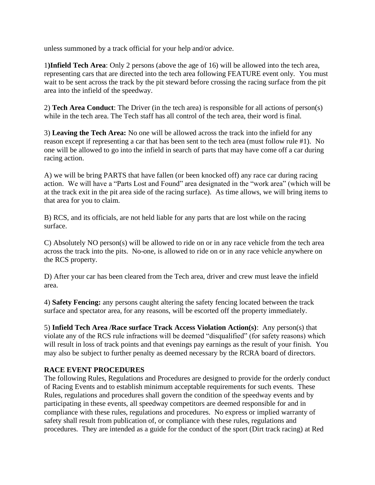unless summoned by a track official for your help and/or advice.

1**)Infield Tech Area**: Only 2 persons (above the age of 16) will be allowed into the tech area, representing cars that are directed into the tech area following FEATURE event only. You must wait to be sent across the track by the pit steward before crossing the racing surface from the pit area into the infield of the speedway.

2) **Tech Area Conduct**: The Driver (in the tech area) is responsible for all actions of person(s) while in the tech area. The Tech staff has all control of the tech area, their word is final.

3) **Leaving the Tech Area:** No one will be allowed across the track into the infield for any reason except if representing a car that has been sent to the tech area (must follow rule #1). No one will be allowed to go into the infield in search of parts that may have come off a car during racing action.

A) we will be bring PARTS that have fallen (or been knocked off) any race car during racing action. We will have a "Parts Lost and Found" area designated in the "work area" (which will be at the track exit in the pit area side of the racing surface). As time allows, we will bring items to that area for you to claim.

B) RCS, and its officials, are not held liable for any parts that are lost while on the racing surface.

C) Absolutely NO person(s) will be allowed to ride on or in any race vehicle from the tech area across the track into the pits. No-one, is allowed to ride on or in any race vehicle anywhere on the RCS property.

D) After your car has been cleared from the Tech area, driver and crew must leave the infield area.

4) **Safety Fencing:** any persons caught altering the safety fencing located between the track surface and spectator area, for any reasons, will be escorted off the property immediately.

5) **Infield Tech Area /Race surface Track Access Violation Action(s)**: Any person(s) that violate any of the RCS rule infractions will be deemed "disqualified" (for safety reasons) which will result in loss of track points and that evenings pay earnings as the result of your finish. You may also be subject to further penalty as deemed necessary by the RCRA board of directors.

# **RACE EVENT PROCEDURES**

The following Rules, Regulations and Procedures are designed to provide for the orderly conduct of Racing Events and to establish minimum acceptable requirements for such events. These Rules, regulations and procedures shall govern the condition of the speedway events and by participating in these events, all speedway competitors are deemed responsible for and in compliance with these rules, regulations and procedures. No express or implied warranty of safety shall result from publication of, or compliance with these rules, regulations and procedures. They are intended as a guide for the conduct of the sport (Dirt track racing) at Red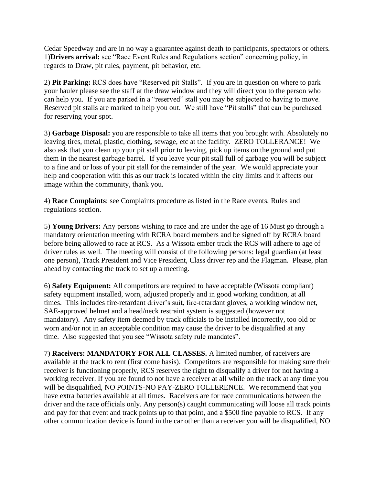Cedar Speedway and are in no way a guarantee against death to participants, spectators or others. 1)**Drivers arrival:** see "Race Event Rules and Regulations section" concerning policy, in regards to Draw, pit rules, payment, pit behavior, etc.

2) **Pit Parking:** RCS does have "Reserved pit Stalls". If you are in question on where to park your hauler please see the staff at the draw window and they will direct you to the person who can help you. If you are parked in a "reserved" stall you may be subjected to having to move. Reserved pit stalls are marked to help you out. We still have "Pit stalls" that can be purchased for reserving your spot.

3) **Garbage Disposal:** you are responsible to take all items that you brought with. Absolutely no leaving tires, metal, plastic, clothing, sewage, etc at the facility. ZERO TOLLERANCE! We also ask that you clean up your pit stall prior to leaving, pick up items on the ground and put them in the nearest garbage barrel. If you leave your pit stall full of garbage you will be subject to a fine and or loss of your pit stall for the remainder of the year. We would appreciate your help and cooperation with this as our track is located within the city limits and it affects our image within the community, thank you.

4) **Race Complaints**: see Complaints procedure as listed in the Race events, Rules and regulations section.

5) **Young Drivers:** Any persons wishing to race and are under the age of 16 Must go through a mandatory orientation meeting with RCRA board members and be signed off by RCRA board before being allowed to race at RCS. As a Wissota ember track the RCS will adhere to age of driver rules as well. The meeting will consist of the following persons: legal guardian (at least one person), Track President and Vice President, Class driver rep and the Flagman. Please, plan ahead by contacting the track to set up a meeting.

6) **Safety Equipment:** All competitors are required to have acceptable (Wissota compliant) safety equipment installed, worn, adjusted properly and in good working condition, at all times. This includes fire-retardant driver's suit, fire-retardant gloves, a working window net, SAE-approved helmet and a head/neck restraint system is suggested (however not mandatory). Any safety item deemed by track officials to be installed incorrectly, too old or worn and/or not in an acceptable condition may cause the driver to be disqualified at any time. Also suggested that you see "Wissota safety rule mandates".

7) **Raceivers: MANDATORY FOR ALL CLASSES.** A limited number, of raceivers are available at the track to rent (first come basis). Competitors are responsible for making sure their receiver is functioning properly, RCS reserves the right to disqualify a driver for not having a working receiver. If you are found to not have a receiver at all while on the track at any time you will be disqualified, NO POINTS-NO PAY-ZERO TOLLERENCE. We recommend that you have extra batteries available at all times. Raceivers are for race communications between the driver and the race officials only. Any person(s) caught communicating will loose all track points and pay for that event and track points up to that point, and a \$500 fine payable to RCS. If any other communication device is found in the car other than a receiver you will be disqualified, NO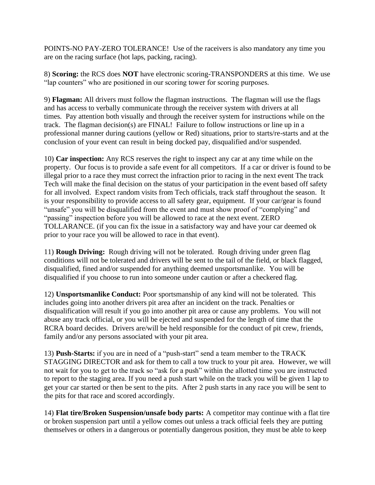POINTS-NO PAY-ZERO TOLERANCE! Use of the raceivers is also mandatory any time you are on the racing surface (hot laps, packing, racing).

8) **Scoring:** the RCS does **NOT** have electronic scoring-TRANSPONDERS at this time. We use "lap counters" who are positioned in our scoring tower for scoring purposes.

9) **Flagman:** All drivers must follow the flagman instructions. The flagman will use the flags and has access to verbally communicate through the receiver system with drivers at all times. Pay attention both visually and through the receiver system for instructions while on the track. The flagman decision(s) are FINAL! Failure to follow instructions or line up in a professional manner during cautions (yellow or Red) situations, prior to starts/re-starts and at the conclusion of your event can result in being docked pay, disqualified and/or suspended.

10) **Car inspection:** Any RCS reserves the right to inspect any car at any time while on the property. Our focus is to provide a safe event for all competitors. If a car or driver is found to be illegal prior to a race they must correct the infraction prior to racing in the next event The track Tech will make the final decision on the status of your participation in the event based off safety for all involved. Expect random visits from Tech officials, track staff throughout the season. It is your responsibility to provide access to all safety gear, equipment. If your car/gear is found "unsafe" you will be disqualified from the event and must show proof of "complying" and "passing" inspection before you will be allowed to race at the next event. ZERO TOLLARANCE. (if you can fix the issue in a satisfactory way and have your car deemed ok prior to your race you will be allowed to race in that event).

11) **Rough Driving:** Rough driving will not be tolerated. Rough driving under green flag conditions will not be tolerated and drivers will be sent to the tail of the field, or black flagged, disqualified, fined and/or suspended for anything deemed unsportsmanlike. You will be disqualified if you choose to run into someone under caution or after a checkered flag.

12) **Unsportsmanlike Conduct:** Poor sportsmanship of any kind will not be tolerated. This includes going into another drivers pit area after an incident on the track. Penalties or disqualification will result if you go into another pit area or cause any problems. You will not abuse any track official, or you will be ejected and suspended for the length of time that the RCRA board decides. Drivers are/will be held responsible for the conduct of pit crew, friends, family and/or any persons associated with your pit area.

13) **Push-Starts:** if you are in need of a "push-start" send a team member to the TRACK STAGGING DIRECTOR and ask for them to call a tow truck to your pit area. However, we will not wait for you to get to the track so "ask for a push" within the allotted time you are instructed to report to the staging area. If you need a push start while on the track you will be given 1 lap to get your car started or then be sent to the pits. After 2 push starts in any race you will be sent to the pits for that race and scored accordingly.

14) **Flat tire/Broken Suspension/unsafe body parts:** A competitor may continue with a flat tire or broken suspension part until a yellow comes out unless a track official feels they are putting themselves or others in a dangerous or potentially dangerous position, they must be able to keep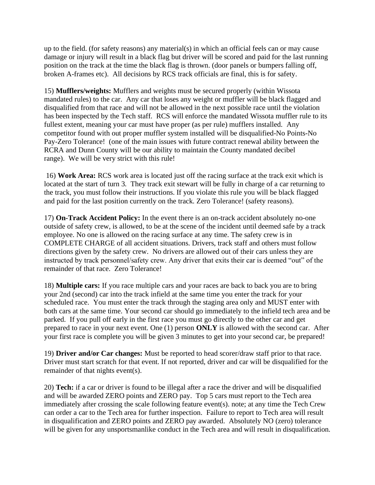up to the field. (for safety reasons) any material(s) in which an official feels can or may cause damage or injury will result in a black flag but driver will be scored and paid for the last running position on the track at the time the black flag is thrown. (door panels or bumpers falling off, broken A-frames etc). All decisions by RCS track officials are final, this is for safety.

15) **Mufflers/weights:** Mufflers and weights must be secured properly (within Wissota mandated rules) to the car. Any car that loses any weight or muffler will be black flagged and disqualified from that race and will not be allowed in the next possible race until the violation has been inspected by the Tech staff. RCS will enforce the mandated Wissota muffler rule to its fullest extent, meaning your car must have proper (as per rule) mufflers installed. Any competitor found with out proper muffler system installed will be disqualified-No Points-No Pay-Zero Tolerance! (one of the main issues with future contract renewal ability between the RCRA and Dunn County will be our ability to maintain the County mandated decibel range). We will be very strict with this rule!

16) **Work Area:** RCS work area is located just off the racing surface at the track exit which is located at the start of turn 3. They track exit stewart will be fully in charge of a car returning to the track, you must follow their instructions. If you violate this rule you will be black flagged and paid for the last position currently on the track. Zero Tolerance! (safety reasons).

17) **On-Track Accident Policy:** In the event there is an on-track accident absolutely no-one outside of safety crew, is allowed, to be at the scene of the incident until deemed safe by a track employee. No one is allowed on the racing surface at any time. The safety crew is in COMPLETE CHARGE of all accident situations. Drivers, track staff and others must follow directions given by the safety crew. No drivers are allowed out of their cars unless they are instructed by track personnel/safety crew. Any driver that exits their car is deemed "out" of the remainder of that race. Zero Tolerance!

18) **Multiple cars:** If you race multiple cars and your races are back to back you are to bring your 2nd (second) car into the track infield at the same time you enter the track for your scheduled race. You must enter the track through the staging area only and MUST enter with both cars at the same time. Your second car should go immediately to the infield tech area and be parked. If you pull off early in the first race you must go directly to the other car and get prepared to race in your next event. One (1) person **ONLY** is allowed with the second car. After your first race is complete you will be given 3 minutes to get into your second car, be prepared!

19) **Driver and/or Car changes:** Must be reported to head scorer/draw staff prior to that race. Driver must start scratch for that event. If not reported, driver and car will be disqualified for the remainder of that nights event(s).

20) **Tech:** if a car or driver is found to be illegal after a race the driver and will be disqualified and will be awarded ZERO points and ZERO pay. Top 5 cars must report to the Tech area immediately after crossing the scale following feature event(s). note; at any time the Tech Crew can order a car to the Tech area for further inspection. Failure to report to Tech area will result in disqualification and ZERO points and ZERO pay awarded. Absolutely NO (zero) tolerance will be given for any unsportsmanlike conduct in the Tech area and will result in disqualification.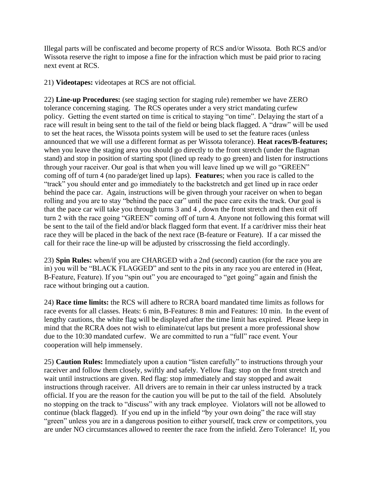Illegal parts will be confiscated and become property of RCS and/or Wissota. Both RCS and/or Wissota reserve the right to impose a fine for the infraction which must be paid prior to racing next event at RCS.

21) **Videotapes:** videotapes at RCS are not official.

22) **Line-up Procedures:** (see staging section for staging rule) remember we have ZERO tolerance concerning staging. The RCS operates under a very strict mandating curfew policy. Getting the event started on time is critical to staying "on time". Delaying the start of a race will result in being sent to the tail of the field or being black flagged. A "draw" will be used to set the heat races, the Wissota points system will be used to set the feature races (unless announced that we will use a different format as per Wissota tolerance). **Heat races/B-features;** when you leave the staging area you should go directly to the front stretch (under the flagman stand) and stop in position of starting spot (lined up ready to go green) and listen for instructions through your raceiver. Our goal is that when you will leave lined up we will go "GREEN" coming off of turn 4 (no parade/get lined up laps). **Feature**s; when you race is called to the "track" you should enter and go immediately to the backstretch and get lined up in race order behind the pace car. Again, instructions will be given through your raceiver on when to began rolling and you are to stay "behind the pace car" until the pace care exits the track. Our goal is that the pace car will take you through turns 3 and 4 , down the front stretch and then exit off turn 2 with the race going "GREEN" coming off of turn 4. Anyone not following this format will be sent to the tail of the field and/or black flagged form that event. If a car/driver miss their heat race they will be placed in the back of the next race (B-feature or Feature). If a car missed the call for their race the line-up will be adjusted by crisscrossing the field accordingly.

23) **Spin Rules:** when/if you are CHARGED with a 2nd (second) caution (for the race you are in) you will be "BLACK FLAGGED" and sent to the pits in any race you are entered in (Heat, B-Feature, Feature). If you "spin out" you are encouraged to "get going" again and finish the race without bringing out a caution.

24) **Race time limits:** the RCS will adhere to RCRA board mandated time limits as follows for race events for all classes. Heats: 6 min, B-Features: 8 min and Features: 10 min. In the event of lengthy cautions, the white flag will be displayed after the time limit has expired. Please keep in mind that the RCRA does not wish to eliminate/cut laps but present a more professional show due to the 10:30 mandated curfew. We are committed to run a "full" race event. Your cooperation will help immensely.

25) **Caution Rules:** Immediately upon a caution "listen carefully" to instructions through your raceiver and follow them closely, swiftly and safely. Yellow flag: stop on the front stretch and wait until instructions are given. Red flag: stop immediately and stay stopped and await instructions through raceiver. All drivers are to remain in their car unless instructed by a track official. If you are the reason for the caution you will be put to the tail of the field. Absolutely no stopping on the track to "discuss" with any track employee. Violators will not be allowed to continue (black flagged). If you end up in the infield "by your own doing" the race will stay "green" unless you are in a dangerous position to either yourself, track crew or competitors, you are under NO circumstances allowed to reenter the race from the infield. Zero Tolerance! If, you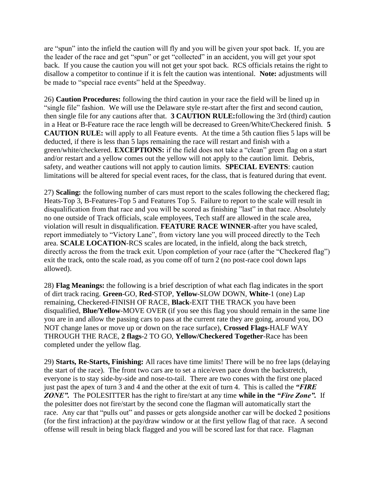are "spun" into the infield the caution will fly and you will be given your spot back. If, you are the leader of the race and get "spun" or get "collected" in an accident, you will get your spot back. If you cause the caution you will not get your spot back. RCS officials retains the right to disallow a competitor to continue if it is felt the caution was intentional. **Note:** adjustments will be made to "special race events" held at the Speedway.

26) **Caution Procedures:** following the third caution in your race the field will be lined up in "single file" fashion. We will use the Delaware style re-start after the first and second caution, then single file for any cautions after that. **3 CAUTION RULE:**following the 3rd (third) caution in a Heat or B-Feature race the race length will be decreased to Green/White/Checkered finish. **5 CAUTION RULE:** will apply to all Feature events. At the time a 5th caution flies 5 laps will be deducted, if there is less than 5 laps remaining the race will restart and finish with a green/white/checkered. **EXCEPTIONS:** if the field does not take a "clean" green flag on a start and/or restart and a yellow comes out the yellow will not apply to the caution limit. Debris, safety, and weather cautions will not apply to caution limits. **SPECIAL EVENTS**: caution limitations will be altered for special event races, for the class, that is featured during that event.

27) **Scaling:** the following number of cars must report to the scales following the checkered flag; Heats-Top 3, B-Features-Top 5 and Features Top 5. Failure to report to the scale will result in disqualification from that race and you will be scored as finishing "last" in that race. Absolutely no one outside of Track officials, scale employees, Tech staff are allowed in the scale area, violation will result in disqualification. **FEATURE RACE WINNER**-after you have scaled, report immediately to "Victory Lane", from victory lane you will proceed directly to the Tech area. **SCALE LOCATION**-RCS scales are located, in the infield, along the back stretch, directly across the from the track exit. Upon completion of your race (after the "Checkered flag") exit the track, onto the scale road, as you come off of turn 2 (no post-race cool down laps allowed).

28) **Flag Meanings:** the following is a brief description of what each flag indicates in the sport of dirt track racing. **Green**-GO, **Red**-STOP, **Yellow**-SLOW DOWN, **White**-1 (one) Lap remaining, Checkered-FINISH OF RACE, **Black**-EXIT THE TRACK you have been disqualified, **Blue/Yellow**-MOVE OVER (if you see this flag you should remain in the same line you are in and allow the passing cars to pass at the current rate they are going, around you, DO NOT change lanes or move up or down on the race surface), **Crossed Flags**-HALF WAY THROUGH THE RACE, **2 flags**-2 TO GO, **Yellow/Checkered Together**-Race has been completed under the yellow flag.

29) **Starts, Re-Starts, Finishing:** All races have time limits! There will be no free laps (delaying the start of the race). The front two cars are to set a nice/even pace down the backstretch, everyone is to stay side-by-side and nose-to-tail. There are two cones with the first one placed just past the apex of turn 3 and 4 and the other at the exit of turn 4. This is called the *"FIRE ZONE".* The POLESITTER has the right to fire/start at any time **while in the** *"Fire Zone".* If the polesitter does not fire/start by the second cone the flagman will automatically start the race. Any car that "pulls out" and passes or gets alongside another car will be docked 2 positions (for the first infraction) at the pay/draw window or at the first yellow flag of that race. A second offense will result in being black flagged and you will be scored last for that race. Flagman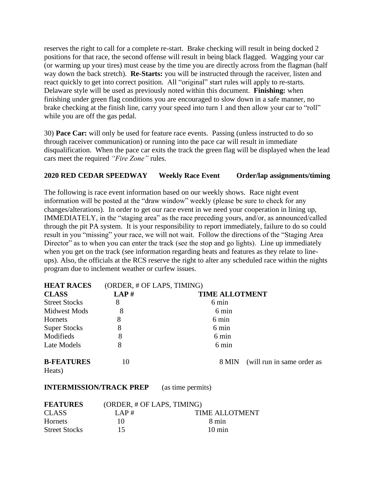reserves the right to call for a complete re-start. Brake checking will result in being docked 2 positions for that race, the second offense will result in being black flagged. Wagging your car (or warming up your tires) must cease by the time you are directly across from the flagman (half way down the back stretch). **Re-Starts:** you will be instructed through the raceiver, listen and react quickly to get into correct position. All "original" start rules will apply to re-starts. Delaware style will be used as previously noted within this document. **Finishing:** when finishing under green flag conditions you are encouraged to slow down in a safe manner, no brake checking at the finish line, carry your speed into turn 1 and then allow your car to "roll" while you are off the gas pedal.

30) **Pace Car:** will only be used for feature race events. Passing (unless instructed to do so through raceiver communication) or running into the pace car will result in immediate disqualification. When the pace car exits the track the green flag will be displayed when the lead cars meet the required *"Fire Zone"* rules.

#### **2020 RED CEDAR SPEEDWAY Weekly Race Event Order/lap assignments/timing**

The following is race event information based on our weekly shows. Race night event information will be posted at the "draw window" weekly (please be sure to check for any changes/alterations). In order to get our race event in we need your cooperation in lining up, IMMEDIATELY, in the "staging area" as the race preceding yours, and/or, as announced/called through the pit PA system. It is your responsibility to report immediately, failure to do so could result in you "missing" your race, we will not wait. Follow the directions of the "Staging Area Director" as to when you can enter the track (see the stop and go lights). Line up immediately when you get on the track (see information regarding heats and features as they relate to lineups). Also, the officials at the RCS reserve the right to alter any scheduled race within the nights program due to inclement weather or curfew issues.

| <b>HEAT RACES</b>           | (ORDER, # OF LAPS, TIMING) |                       |                                  |
|-----------------------------|----------------------------|-----------------------|----------------------------------|
| <b>CLASS</b>                | LAP#                       | <b>TIME ALLOTMENT</b> |                                  |
| <b>Street Stocks</b>        | 8                          | 6 min                 |                                  |
| <b>Midwest Mods</b>         | 8                          | 6 min                 |                                  |
| Hornets                     | 8                          | 6 min                 |                                  |
| <b>Super Stocks</b>         | 8                          | 6 min                 |                                  |
| Modifieds                   | 8                          | 6 min                 |                                  |
| Late Models                 | 8                          | 6 min                 |                                  |
| <b>B-FEATURES</b><br>Heats) | 10                         |                       | 8 MIN (will run in same order as |

**INTERMISSION/TRACK PREP** (as time permits)

| <b>FEATURES</b>      | (ORDER, # OF LAPS, TIMING) |                       |
|----------------------|----------------------------|-----------------------|
| <b>CLASS</b>         | LAP#                       | <b>TIME ALLOTMENT</b> |
| <b>Hornets</b>       | 10                         | 8 min                 |
| <b>Street Stocks</b> | 15                         | $10 \text{ min}$      |